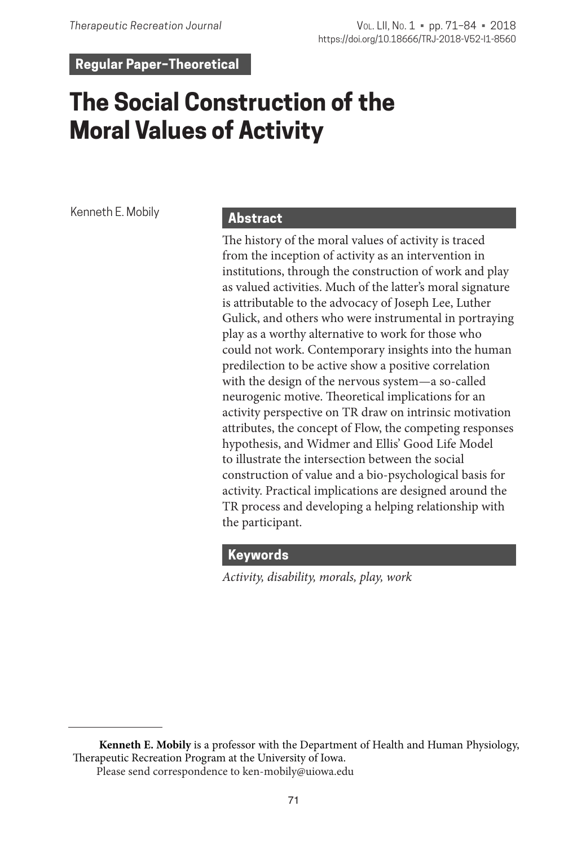**Regular Paper–Theoretical**

# **The Social Construction of the Moral Values of Activity**

Kenneth E. Mobily

## **Abstract**

The history of the moral values of activity is traced from the inception of activity as an intervention in institutions, through the construction of work and play as valued activities. Much of the latter's moral signature is attributable to the advocacy of Joseph Lee, Luther Gulick, and others who were instrumental in portraying play as a worthy alternative to work for those who could not work. Contemporary insights into the human predilection to be active show a positive correlation with the design of the nervous system—a so-called neurogenic motive. Theoretical implications for an activity perspective on TR draw on intrinsic motivation attributes, the concept of Flow, the competing responses hypothesis, and Widmer and Ellis' Good Life Model to illustrate the intersection between the social construction of value and a bio-psychological basis for activity. Practical implications are designed around the TR process and developing a helping relationship with the participant.

# **Keywords**

*Activity, disability, morals, play, work*

**Kenneth E. Mobily** is a professor with the Department of Health and Human Physiology, Therapeutic Recreation Program at the University of Iowa.

Please send correspondence to ken-mobily@uiowa.edu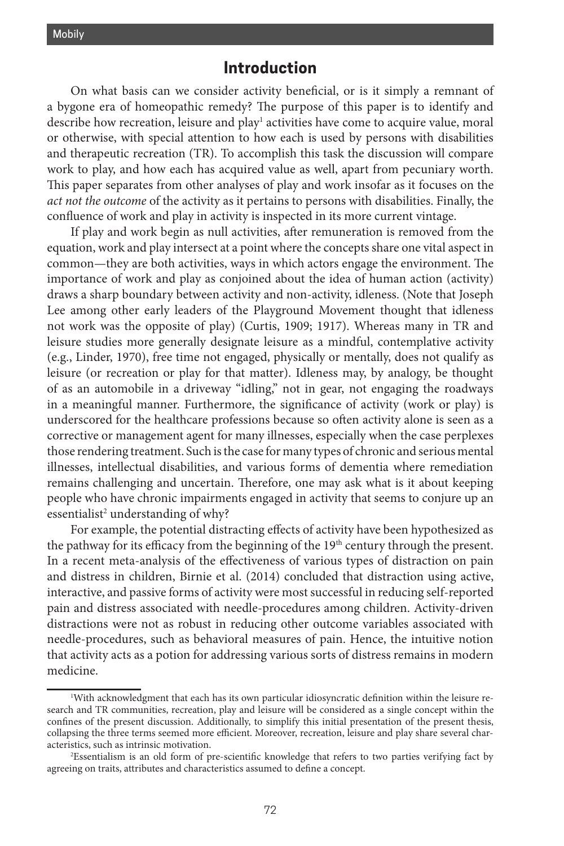# **Introduction**

On what basis can we consider activity beneficial, or is it simply a remnant of a bygone era of homeopathic remedy? The purpose of this paper is to identify and describe how recreation, leisure and play<sup>1</sup> activities have come to acquire value, moral or otherwise, with special attention to how each is used by persons with disabilities and therapeutic recreation (TR). To accomplish this task the discussion will compare work to play, and how each has acquired value as well, apart from pecuniary worth. This paper separates from other analyses of play and work insofar as it focuses on the *act not the outcome* of the activity as it pertains to persons with disabilities. Finally, the confluence of work and play in activity is inspected in its more current vintage.

If play and work begin as null activities, after remuneration is removed from the equation, work and play intersect at a point where the concepts share one vital aspect in common—they are both activities, ways in which actors engage the environment. The importance of work and play as conjoined about the idea of human action (activity) draws a sharp boundary between activity and non-activity, idleness. (Note that Joseph Lee among other early leaders of the Playground Movement thought that idleness not work was the opposite of play) (Curtis, 1909; 1917). Whereas many in TR and leisure studies more generally designate leisure as a mindful, contemplative activity (e.g., Linder, 1970), free time not engaged, physically or mentally, does not qualify as leisure (or recreation or play for that matter). Idleness may, by analogy, be thought of as an automobile in a driveway "idling," not in gear, not engaging the roadways in a meaningful manner. Furthermore, the significance of activity (work or play) is underscored for the healthcare professions because so often activity alone is seen as a corrective or management agent for many illnesses, especially when the case perplexes those rendering treatment. Such is the case for many types of chronic and serious mental illnesses, intellectual disabilities, and various forms of dementia where remediation remains challenging and uncertain. Therefore, one may ask what is it about keeping people who have chronic impairments engaged in activity that seems to conjure up an essentialist<sup>2</sup> understanding of why?

For example, the potential distracting effects of activity have been hypothesized as the pathway for its efficacy from the beginning of the  $19<sup>th</sup>$  century through the present. In a recent meta-analysis of the effectiveness of various types of distraction on pain and distress in children, Birnie et al. (2014) concluded that distraction using active, interactive, and passive forms of activity were most successful in reducing self-reported pain and distress associated with needle-procedures among children. Activity-driven distractions were not as robust in reducing other outcome variables associated with needle-procedures, such as behavioral measures of pain. Hence, the intuitive notion that activity acts as a potion for addressing various sorts of distress remains in modern medicine.

<sup>1</sup> With acknowledgment that each has its own particular idiosyncratic definition within the leisure research and TR communities, recreation, play and leisure will be considered as a single concept within the confines of the present discussion. Additionally, to simplify this initial presentation of the present thesis, collapsing the three terms seemed more efficient. Moreover, recreation, leisure and play share several characteristics, such as intrinsic motivation.

<sup>2</sup> Essentialism is an old form of pre-scientific knowledge that refers to two parties verifying fact by agreeing on traits, attributes and characteristics assumed to define a concept.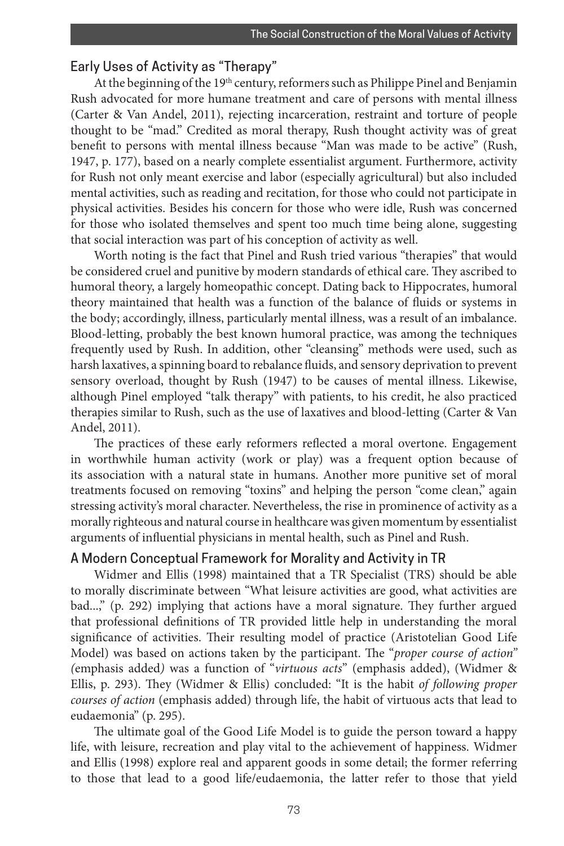#### Early Uses of Activity as "Therapy"

At the beginning of the 19th century, reformers such as Philippe Pinel and Benjamin Rush advocated for more humane treatment and care of persons with mental illness (Carter & Van Andel, 2011), rejecting incarceration, restraint and torture of people thought to be "mad." Credited as moral therapy, Rush thought activity was of great benefit to persons with mental illness because "Man was made to be active" (Rush, 1947, p. 177), based on a nearly complete essentialist argument. Furthermore, activity for Rush not only meant exercise and labor (especially agricultural) but also included mental activities, such as reading and recitation, for those who could not participate in physical activities. Besides his concern for those who were idle, Rush was concerned for those who isolated themselves and spent too much time being alone, suggesting that social interaction was part of his conception of activity as well.

Worth noting is the fact that Pinel and Rush tried various "therapies" that would be considered cruel and punitive by modern standards of ethical care. They ascribed to humoral theory, a largely homeopathic concept. Dating back to Hippocrates, humoral theory maintained that health was a function of the balance of fluids or systems in the body; accordingly, illness, particularly mental illness, was a result of an imbalance. Blood-letting, probably the best known humoral practice, was among the techniques frequently used by Rush. In addition, other "cleansing" methods were used, such as harsh laxatives, a spinning board to rebalance fluids, and sensory deprivation to prevent sensory overload, thought by Rush (1947) to be causes of mental illness. Likewise, although Pinel employed "talk therapy" with patients, to his credit, he also practiced therapies similar to Rush, such as the use of laxatives and blood-letting (Carter & Van Andel, 2011).

The practices of these early reformers reflected a moral overtone. Engagement in worthwhile human activity (work or play) was a frequent option because of its association with a natural state in humans. Another more punitive set of moral treatments focused on removing "toxins" and helping the person "come clean," again stressing activity's moral character. Nevertheless, the rise in prominence of activity as a morally righteous and natural course in healthcare was given momentum by essentialist arguments of influential physicians in mental health, such as Pinel and Rush.

#### A Modern Conceptual Framework for Morality and Activity in TR

Widmer and Ellis (1998) maintained that a TR Specialist (TRS) should be able to morally discriminate between "What leisure activities are good, what activities are bad...," (p. 292) implying that actions have a moral signature. They further argued that professional definitions of TR provided little help in understanding the moral significance of activities. Their resulting model of practice (Aristotelian Good Life Model) was based on actions taken by the participant. The "*proper course of action" (*emphasis added*)* was a function of "*virtuous acts*" (emphasis added), (Widmer & Ellis, p. 293). They (Widmer & Ellis) concluded: "It is the habit *of following proper courses of action* (emphasis added) through life, the habit of virtuous acts that lead to eudaemonia" (p. 295).

The ultimate goal of the Good Life Model is to guide the person toward a happy life, with leisure, recreation and play vital to the achievement of happiness. Widmer and Ellis (1998) explore real and apparent goods in some detail; the former referring to those that lead to a good life/eudaemonia, the latter refer to those that yield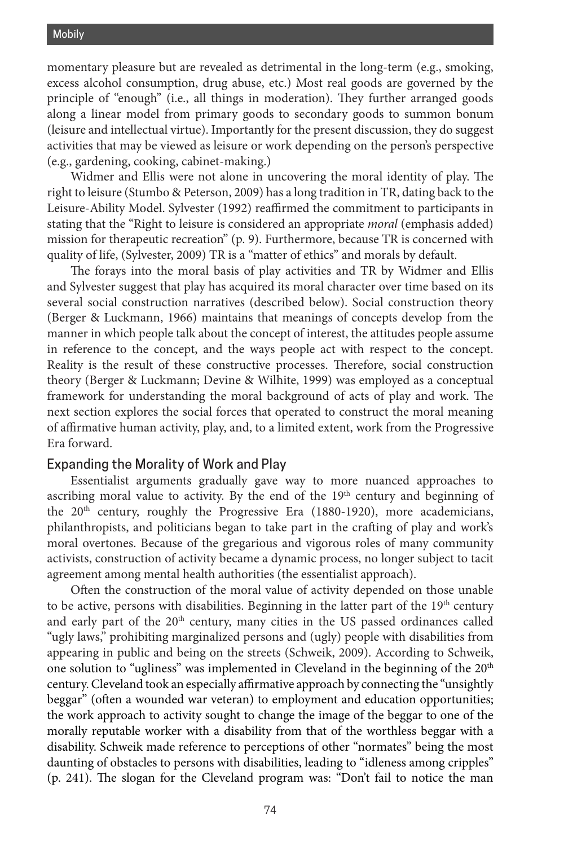momentary pleasure but are revealed as detrimental in the long-term (e.g., smoking, excess alcohol consumption, drug abuse, etc.) Most real goods are governed by the principle of "enough" (i.e., all things in moderation). They further arranged goods along a linear model from primary goods to secondary goods to summon bonum (leisure and intellectual virtue). Importantly for the present discussion, they do suggest activities that may be viewed as leisure or work depending on the person's perspective (e.g., gardening, cooking, cabinet-making.)

Widmer and Ellis were not alone in uncovering the moral identity of play. The right to leisure (Stumbo & Peterson, 2009) has a long tradition in TR, dating back to the Leisure-Ability Model. Sylvester (1992) reaffirmed the commitment to participants in stating that the "Right to leisure is considered an appropriate *moral* (emphasis added) mission for therapeutic recreation" (p. 9). Furthermore, because TR is concerned with quality of life, (Sylvester, 2009) TR is a "matter of ethics" and morals by default.

The forays into the moral basis of play activities and TR by Widmer and Ellis and Sylvester suggest that play has acquired its moral character over time based on its several social construction narratives (described below). Social construction theory (Berger & Luckmann, 1966) maintains that meanings of concepts develop from the manner in which people talk about the concept of interest, the attitudes people assume in reference to the concept, and the ways people act with respect to the concept. Reality is the result of these constructive processes. Therefore, social construction theory (Berger & Luckmann; Devine & Wilhite, 1999) was employed as a conceptual framework for understanding the moral background of acts of play and work. The next section explores the social forces that operated to construct the moral meaning of affirmative human activity, play, and, to a limited extent, work from the Progressive Era forward.

#### Expanding the Morality of Work and Play

Essentialist arguments gradually gave way to more nuanced approaches to ascribing moral value to activity. By the end of the 19<sup>th</sup> century and beginning of the 20<sup>th</sup> century, roughly the Progressive Era (1880-1920), more academicians, philanthropists, and politicians began to take part in the crafting of play and work's moral overtones. Because of the gregarious and vigorous roles of many community activists, construction of activity became a dynamic process, no longer subject to tacit agreement among mental health authorities (the essentialist approach).

Often the construction of the moral value of activity depended on those unable to be active, persons with disabilities. Beginning in the latter part of the  $19<sup>th</sup>$  century and early part of the  $20<sup>th</sup>$  century, many cities in the US passed ordinances called "ugly laws," prohibiting marginalized persons and (ugly) people with disabilities from appearing in public and being on the streets (Schweik, 2009). According to Schweik, one solution to "ugliness" was implemented in Cleveland in the beginning of the 20<sup>th</sup> century. Cleveland took an especially affirmative approach by connecting the "unsightly beggar" (often a wounded war veteran) to employment and education opportunities; the work approach to activity sought to change the image of the beggar to one of the morally reputable worker with a disability from that of the worthless beggar with a disability. Schweik made reference to perceptions of other "normates" being the most daunting of obstacles to persons with disabilities, leading to "idleness among cripples" (p. 241). The slogan for the Cleveland program was: "Don't fail to notice the man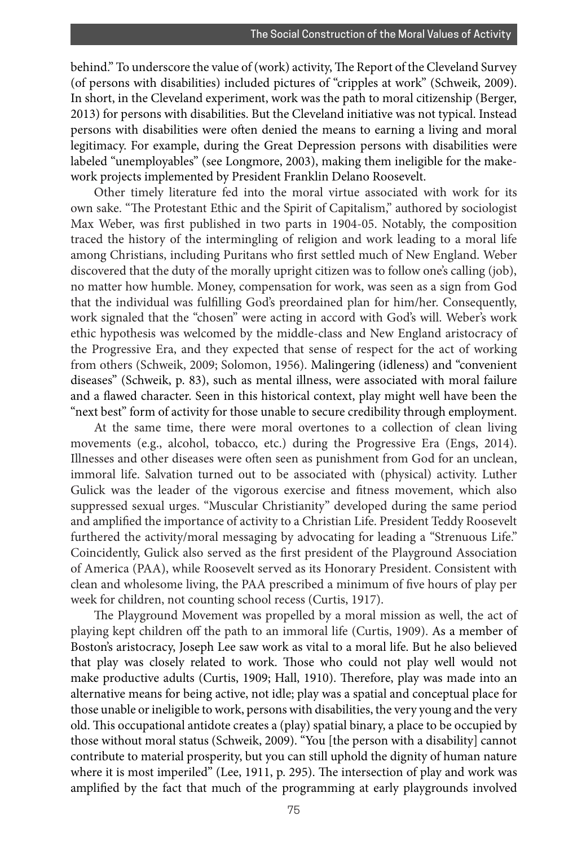behind." To underscore the value of (work) activity, The Report of the Cleveland Survey (of persons with disabilities) included pictures of "cripples at work" (Schweik, 2009). In short, in the Cleveland experiment, work was the path to moral citizenship (Berger, 2013) for persons with disabilities. But the Cleveland initiative was not typical. Instead persons with disabilities were often denied the means to earning a living and moral legitimacy. For example, during the Great Depression persons with disabilities were labeled "unemployables" (see Longmore, 2003), making them ineligible for the makework projects implemented by President Franklin Delano Roosevelt.

Other timely literature fed into the moral virtue associated with work for its own sake. "The Protestant Ethic and the Spirit of Capitalism," authored by sociologist Max Weber, was first published in two parts in 1904-05. Notably, the composition traced the history of the intermingling of religion and work leading to a moral life among Christians, including Puritans who first settled much of New England. Weber discovered that the duty of the morally upright citizen was to follow one's calling (job), no matter how humble. Money, compensation for work, was seen as a sign from God that the individual was fulfilling God's preordained plan for him/her. Consequently, work signaled that the "chosen" were acting in accord with God's will. Weber's work ethic hypothesis was welcomed by the middle-class and New England aristocracy of the Progressive Era, and they expected that sense of respect for the act of working from others (Schweik, 2009; Solomon, 1956). Malingering (idleness) and "convenient diseases" (Schweik, p. 83), such as mental illness, were associated with moral failure and a flawed character. Seen in this historical context, play might well have been the "next best" form of activity for those unable to secure credibility through employment.

At the same time, there were moral overtones to a collection of clean living movements (e.g., alcohol, tobacco, etc.) during the Progressive Era (Engs, 2014). Illnesses and other diseases were often seen as punishment from God for an unclean, immoral life. Salvation turned out to be associated with (physical) activity. Luther Gulick was the leader of the vigorous exercise and fitness movement, which also suppressed sexual urges. "Muscular Christianity" developed during the same period and amplified the importance of activity to a Christian Life. President Teddy Roosevelt furthered the activity/moral messaging by advocating for leading a "Strenuous Life." Coincidently, Gulick also served as the first president of the Playground Association of America (PAA), while Roosevelt served as its Honorary President. Consistent with clean and wholesome living, the PAA prescribed a minimum of five hours of play per week for children, not counting school recess (Curtis, 1917).

The Playground Movement was propelled by a moral mission as well, the act of playing kept children off the path to an immoral life (Curtis, 1909). As a member of Boston's aristocracy, Joseph Lee saw work as vital to a moral life. But he also believed that play was closely related to work. Those who could not play well would not make productive adults (Curtis, 1909; Hall, 1910). Therefore, play was made into an alternative means for being active, not idle; play was a spatial and conceptual place for those unable or ineligible to work, persons with disabilities, the very young and the very old. This occupational antidote creates a (play) spatial binary, a place to be occupied by those without moral status (Schweik, 2009). "You [the person with a disability] cannot contribute to material prosperity, but you can still uphold the dignity of human nature where it is most imperiled" (Lee, 1911, p. 295). The intersection of play and work was amplified by the fact that much of the programming at early playgrounds involved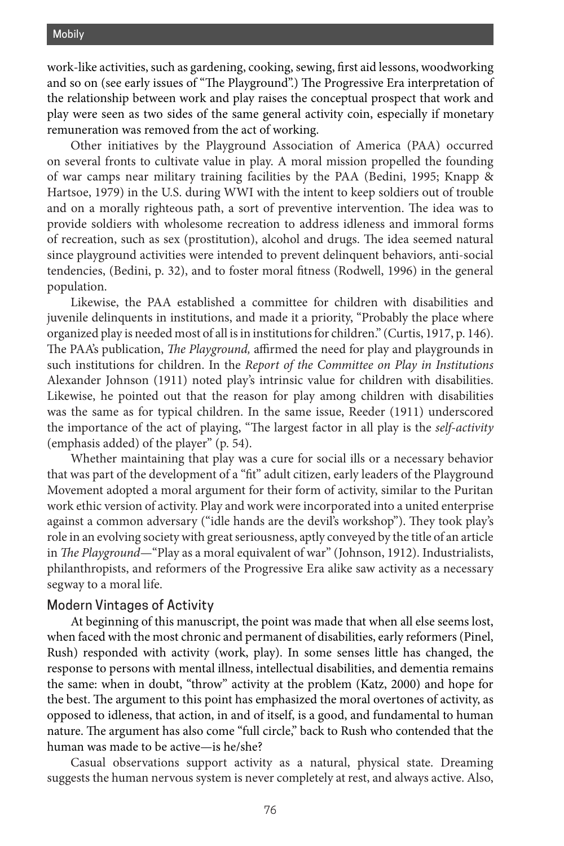work-like activities, such as gardening, cooking, sewing, first aid lessons, woodworking and so on (see early issues of "The Playground".) The Progressive Era interpretation of the relationship between work and play raises the conceptual prospect that work and play were seen as two sides of the same general activity coin, especially if monetary remuneration was removed from the act of working.

Other initiatives by the Playground Association of America (PAA) occurred on several fronts to cultivate value in play. A moral mission propelled the founding of war camps near military training facilities by the PAA (Bedini, 1995; Knapp & Hartsoe, 1979) in the U.S. during WWI with the intent to keep soldiers out of trouble and on a morally righteous path, a sort of preventive intervention. The idea was to provide soldiers with wholesome recreation to address idleness and immoral forms of recreation, such as sex (prostitution), alcohol and drugs. The idea seemed natural since playground activities were intended to prevent delinquent behaviors, anti-social tendencies, (Bedini, p. 32), and to foster moral fitness (Rodwell, 1996) in the general population.

Likewise, the PAA established a committee for children with disabilities and juvenile delinquents in institutions, and made it a priority, "Probably the place where organized play is needed most of all is in institutions for children." (Curtis, 1917, p. 146). The PAA's publication, *The Playground,* affirmed the need for play and playgrounds in such institutions for children. In the *Report of the Committee on Play in Institutions* Alexander Johnson (1911) noted play's intrinsic value for children with disabilities. Likewise, he pointed out that the reason for play among children with disabilities was the same as for typical children. In the same issue, Reeder (1911) underscored the importance of the act of playing, "The largest factor in all play is the *self-activity* (emphasis added) of the player" (p. 54).

Whether maintaining that play was a cure for social ills or a necessary behavior that was part of the development of a "fit" adult citizen, early leaders of the Playground Movement adopted a moral argument for their form of activity, similar to the Puritan work ethic version of activity. Play and work were incorporated into a united enterprise against a common adversary ("idle hands are the devil's workshop"). They took play's role in an evolving society with great seriousness, aptly conveyed by the title of an article in *The Playground*—"Play as a moral equivalent of war" (Johnson, 1912). Industrialists, philanthropists, and reformers of the Progressive Era alike saw activity as a necessary segway to a moral life.

#### Modern Vintages of Activity

At beginning of this manuscript, the point was made that when all else seems lost, when faced with the most chronic and permanent of disabilities, early reformers (Pinel, Rush) responded with activity (work, play). In some senses little has changed, the response to persons with mental illness, intellectual disabilities, and dementia remains the same: when in doubt, "throw" activity at the problem (Katz, 2000) and hope for the best. The argument to this point has emphasized the moral overtones of activity, as opposed to idleness, that action, in and of itself, is a good, and fundamental to human nature. The argument has also come "full circle," back to Rush who contended that the human was made to be active—is he/she?

Casual observations support activity as a natural, physical state. Dreaming suggests the human nervous system is never completely at rest, and always active. Also,

76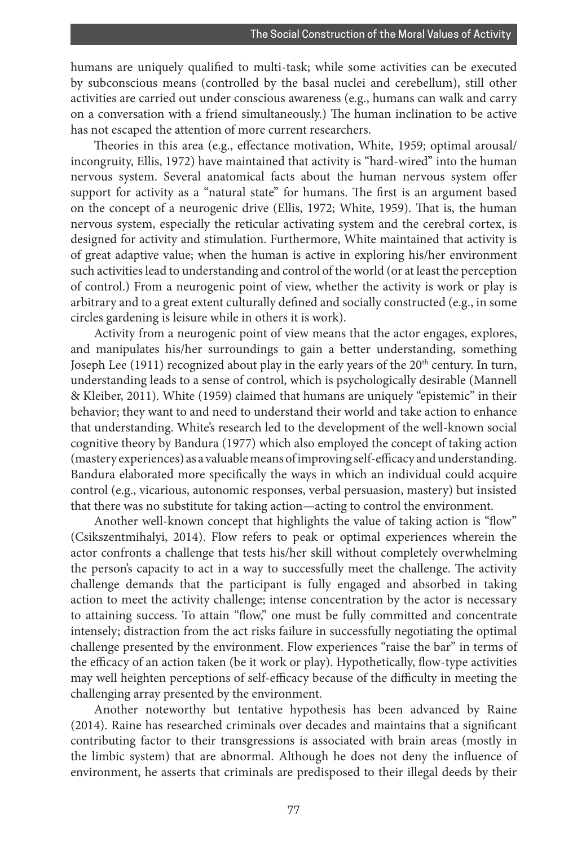humans are uniquely qualified to multi-task; while some activities can be executed by subconscious means (controlled by the basal nuclei and cerebellum), still other activities are carried out under conscious awareness (e.g., humans can walk and carry on a conversation with a friend simultaneously.) The human inclination to be active has not escaped the attention of more current researchers.

Theories in this area (e.g., effectance motivation, White, 1959; optimal arousal/ incongruity, Ellis, 1972) have maintained that activity is "hard-wired" into the human nervous system. Several anatomical facts about the human nervous system offer support for activity as a "natural state" for humans. The first is an argument based on the concept of a neurogenic drive (Ellis, 1972; White, 1959). That is, the human nervous system, especially the reticular activating system and the cerebral cortex, is designed for activity and stimulation. Furthermore, White maintained that activity is of great adaptive value; when the human is active in exploring his/her environment such activities lead to understanding and control of the world (or at least the perception of control.) From a neurogenic point of view, whether the activity is work or play is arbitrary and to a great extent culturally defined and socially constructed (e.g., in some circles gardening is leisure while in others it is work).

Activity from a neurogenic point of view means that the actor engages, explores, and manipulates his/her surroundings to gain a better understanding, something Joseph Lee  $(1911)$  recognized about play in the early years of the  $20<sup>th</sup>$  century. In turn, understanding leads to a sense of control, which is psychologically desirable (Mannell & Kleiber, 2011). White (1959) claimed that humans are uniquely "epistemic" in their behavior; they want to and need to understand their world and take action to enhance that understanding. White's research led to the development of the well-known social cognitive theory by Bandura (1977) which also employed the concept of taking action (mastery experiences) as a valuable means of improving self-efficacy and understanding. Bandura elaborated more specifically the ways in which an individual could acquire control (e.g., vicarious, autonomic responses, verbal persuasion, mastery) but insisted that there was no substitute for taking action—acting to control the environment.

Another well-known concept that highlights the value of taking action is "flow" (Csikszentmihalyi, 2014). Flow refers to peak or optimal experiences wherein the actor confronts a challenge that tests his/her skill without completely overwhelming the person's capacity to act in a way to successfully meet the challenge. The activity challenge demands that the participant is fully engaged and absorbed in taking action to meet the activity challenge; intense concentration by the actor is necessary to attaining success. To attain "flow," one must be fully committed and concentrate intensely; distraction from the act risks failure in successfully negotiating the optimal challenge presented by the environment. Flow experiences "raise the bar" in terms of the efficacy of an action taken (be it work or play). Hypothetically, flow-type activities may well heighten perceptions of self-efficacy because of the difficulty in meeting the challenging array presented by the environment.

Another noteworthy but tentative hypothesis has been advanced by Raine (2014). Raine has researched criminals over decades and maintains that a significant contributing factor to their transgressions is associated with brain areas (mostly in the limbic system) that are abnormal. Although he does not deny the influence of environment, he asserts that criminals are predisposed to their illegal deeds by their

77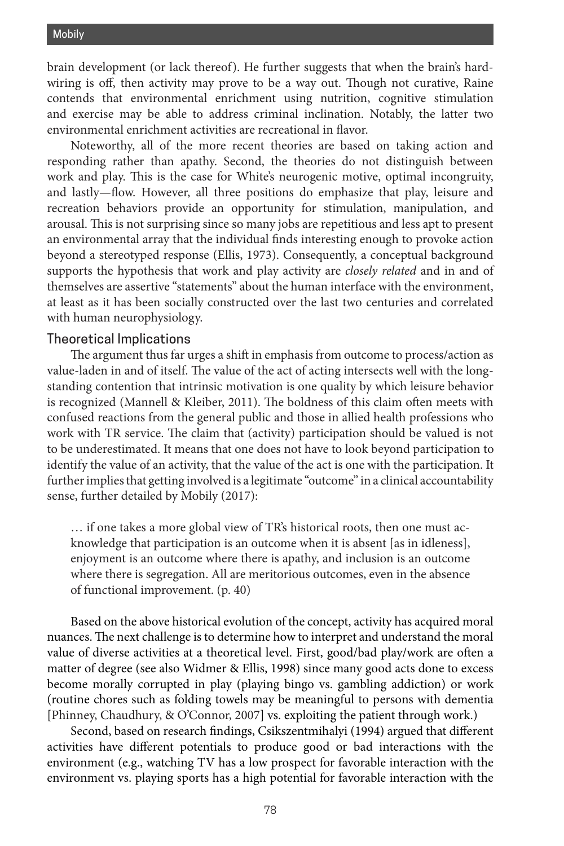brain development (or lack thereof). He further suggests that when the brain's hardwiring is off, then activity may prove to be a way out. Though not curative, Raine contends that environmental enrichment using nutrition, cognitive stimulation and exercise may be able to address criminal inclination. Notably, the latter two environmental enrichment activities are recreational in flavor.

Noteworthy, all of the more recent theories are based on taking action and responding rather than apathy. Second, the theories do not distinguish between work and play. This is the case for White's neurogenic motive, optimal incongruity, and lastly—flow. However, all three positions do emphasize that play, leisure and recreation behaviors provide an opportunity for stimulation, manipulation, and arousal. This is not surprising since so many jobs are repetitious and less apt to present an environmental array that the individual finds interesting enough to provoke action beyond a stereotyped response (Ellis, 1973). Consequently, a conceptual background supports the hypothesis that work and play activity are *closely related* and in and of themselves are assertive "statements" about the human interface with the environment, at least as it has been socially constructed over the last two centuries and correlated with human neurophysiology.

#### Theoretical Implications

The argument thus far urges a shift in emphasis from outcome to process/action as value-laden in and of itself. The value of the act of acting intersects well with the longstanding contention that intrinsic motivation is one quality by which leisure behavior is recognized (Mannell & Kleiber, 2011). The boldness of this claim often meets with confused reactions from the general public and those in allied health professions who work with TR service. The claim that (activity) participation should be valued is not to be underestimated. It means that one does not have to look beyond participation to identify the value of an activity, that the value of the act is one with the participation. It further implies that getting involved is a legitimate "outcome" in a clinical accountability sense, further detailed by Mobily (2017):

… if one takes a more global view of TR's historical roots, then one must acknowledge that participation is an outcome when it is absent [as in idleness], enjoyment is an outcome where there is apathy, and inclusion is an outcome where there is segregation. All are meritorious outcomes, even in the absence of functional improvement. (p. 40)

Based on the above historical evolution of the concept, activity has acquired moral nuances. The next challenge is to determine how to interpret and understand the moral value of diverse activities at a theoretical level. First, good/bad play/work are often a matter of degree (see also Widmer & Ellis, 1998) since many good acts done to excess become morally corrupted in play (playing bingo vs. gambling addiction) or work (routine chores such as folding towels may be meaningful to persons with dementia [Phinney, Chaudhury, & O'Connor, 2007] vs. exploiting the patient through work.)

Second, based on research findings, Csikszentmihalyi (1994) argued that different activities have different potentials to produce good or bad interactions with the environment (e.g., watching TV has a low prospect for favorable interaction with the environment vs. playing sports has a high potential for favorable interaction with the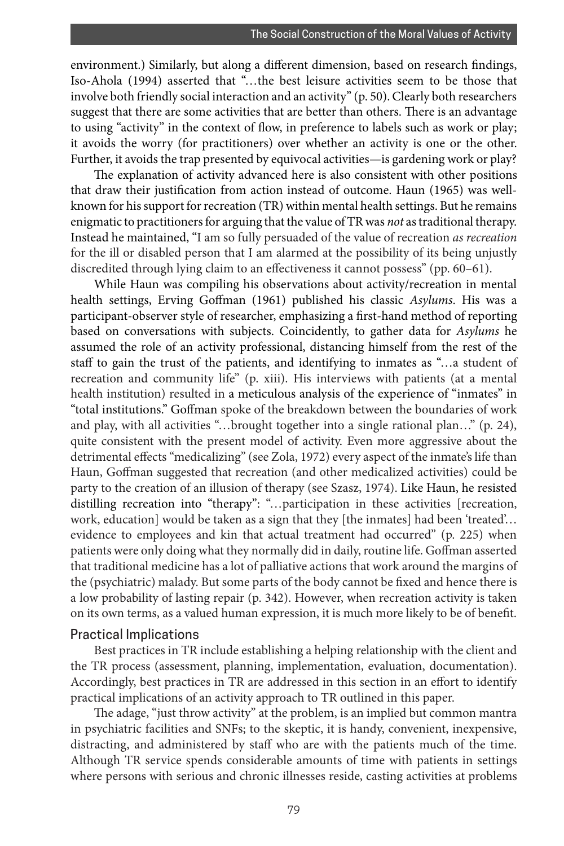environment.) Similarly, but along a different dimension, based on research findings, Iso-Ahola (1994) asserted that "…the best leisure activities seem to be those that involve both friendly social interaction and an activity" (p. 50). Clearly both researchers suggest that there are some activities that are better than others. There is an advantage to using "activity" in the context of flow, in preference to labels such as work or play; it avoids the worry (for practitioners) over whether an activity is one or the other. Further, it avoids the trap presented by equivocal activities—is gardening work or play?

The explanation of activity advanced here is also consistent with other positions that draw their justification from action instead of outcome. Haun (1965) was wellknown for his support for recreation (TR) within mental health settings. But he remains enigmatic to practitioners for arguing that the value of TR was *not* as traditional therapy. Instead he maintained, "I am so fully persuaded of the value of recreation *as recreation* for the ill or disabled person that I am alarmed at the possibility of its being unjustly discredited through lying claim to an effectiveness it cannot possess" (pp. 60–61).

While Haun was compiling his observations about activity/recreation in mental health settings, Erving Goffman (1961) published his classic *Asylums*. His was a participant-observer style of researcher, emphasizing a first-hand method of reporting based on conversations with subjects. Coincidently, to gather data for *Asylums* he assumed the role of an activity professional, distancing himself from the rest of the staff to gain the trust of the patients, and identifying to inmates as "…a student of recreation and community life" (p. xiii). His interviews with patients (at a mental health institution) resulted in a meticulous analysis of the experience of "inmates" in "total institutions." Goffman spoke of the breakdown between the boundaries of work and play, with all activities "…brought together into a single rational plan…" (p. 24), quite consistent with the present model of activity. Even more aggressive about the detrimental effects "medicalizing" (see Zola, 1972) every aspect of the inmate's life than Haun, Goffman suggested that recreation (and other medicalized activities) could be party to the creation of an illusion of therapy (see Szasz, 1974). Like Haun, he resisted distilling recreation into "therapy": "…participation in these activities [recreation, work, education] would be taken as a sign that they [the inmates] had been 'treated'… evidence to employees and kin that actual treatment had occurred" (p. 225) when patients were only doing what they normally did in daily, routine life. Goffman asserted that traditional medicine has a lot of palliative actions that work around the margins of the (psychiatric) malady. But some parts of the body cannot be fixed and hence there is a low probability of lasting repair (p. 342). However, when recreation activity is taken on its own terms, as a valued human expression, it is much more likely to be of benefit.

#### Practical Implications

Best practices in TR include establishing a helping relationship with the client and the TR process (assessment, planning, implementation, evaluation, documentation). Accordingly, best practices in TR are addressed in this section in an effort to identify practical implications of an activity approach to TR outlined in this paper.

The adage, "just throw activity" at the problem, is an implied but common mantra in psychiatric facilities and SNFs; to the skeptic, it is handy, convenient, inexpensive, distracting, and administered by staff who are with the patients much of the time. Although TR service spends considerable amounts of time with patients in settings where persons with serious and chronic illnesses reside, casting activities at problems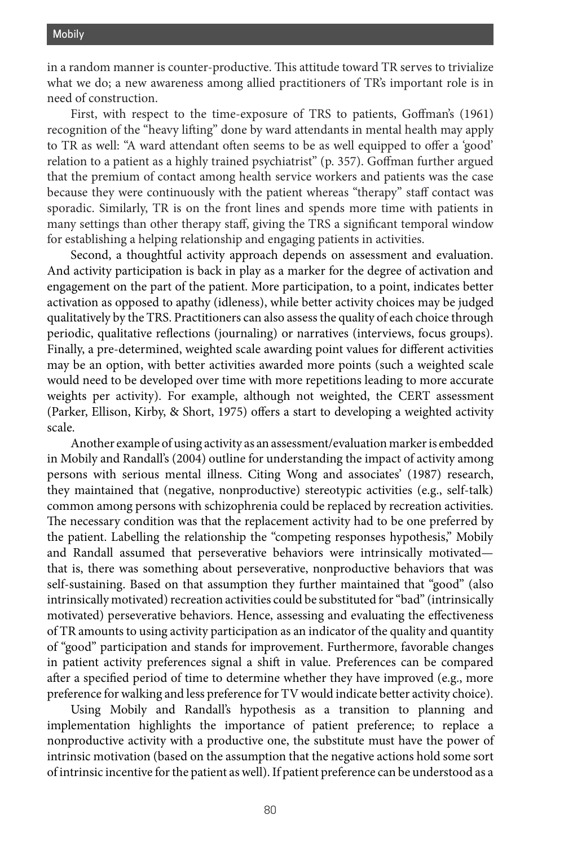in a random manner is counter-productive. This attitude toward TR serves to trivialize what we do; a new awareness among allied practitioners of TR's important role is in need of construction.

First, with respect to the time-exposure of TRS to patients, Goffman's (1961) recognition of the "heavy lifting" done by ward attendants in mental health may apply to TR as well: "A ward attendant often seems to be as well equipped to offer a 'good' relation to a patient as a highly trained psychiatrist" (p. 357). Goffman further argued that the premium of contact among health service workers and patients was the case because they were continuously with the patient whereas "therapy" staff contact was sporadic. Similarly, TR is on the front lines and spends more time with patients in many settings than other therapy staff, giving the TRS a significant temporal window for establishing a helping relationship and engaging patients in activities.

Second, a thoughtful activity approach depends on assessment and evaluation. And activity participation is back in play as a marker for the degree of activation and engagement on the part of the patient. More participation, to a point, indicates better activation as opposed to apathy (idleness), while better activity choices may be judged qualitatively by the TRS. Practitioners can also assess the quality of each choice through periodic, qualitative reflections (journaling) or narratives (interviews, focus groups). Finally, a pre-determined, weighted scale awarding point values for different activities may be an option, with better activities awarded more points (such a weighted scale would need to be developed over time with more repetitions leading to more accurate weights per activity). For example, although not weighted, the CERT assessment (Parker, Ellison, Kirby, & Short, 1975) offers a start to developing a weighted activity scale.

Another example of using activity as an assessment/evaluation marker is embedded in Mobily and Randall's (2004) outline for understanding the impact of activity among persons with serious mental illness. Citing Wong and associates' (1987) research, they maintained that (negative, nonproductive) stereotypic activities (e.g., self-talk) common among persons with schizophrenia could be replaced by recreation activities. The necessary condition was that the replacement activity had to be one preferred by the patient. Labelling the relationship the "competing responses hypothesis," Mobily and Randall assumed that perseverative behaviors were intrinsically motivated that is, there was something about perseverative, nonproductive behaviors that was self-sustaining. Based on that assumption they further maintained that "good" (also intrinsically motivated) recreation activities could be substituted for "bad" (intrinsically motivated) perseverative behaviors. Hence, assessing and evaluating the effectiveness of TR amounts to using activity participation as an indicator of the quality and quantity of "good" participation and stands for improvement. Furthermore, favorable changes in patient activity preferences signal a shift in value. Preferences can be compared after a specified period of time to determine whether they have improved (e.g., more preference for walking and less preference for TV would indicate better activity choice).

Using Mobily and Randall's hypothesis as a transition to planning and implementation highlights the importance of patient preference; to replace a nonproductive activity with a productive one, the substitute must have the power of intrinsic motivation (based on the assumption that the negative actions hold some sort of intrinsic incentive for the patient as well). If patient preference can be understood as a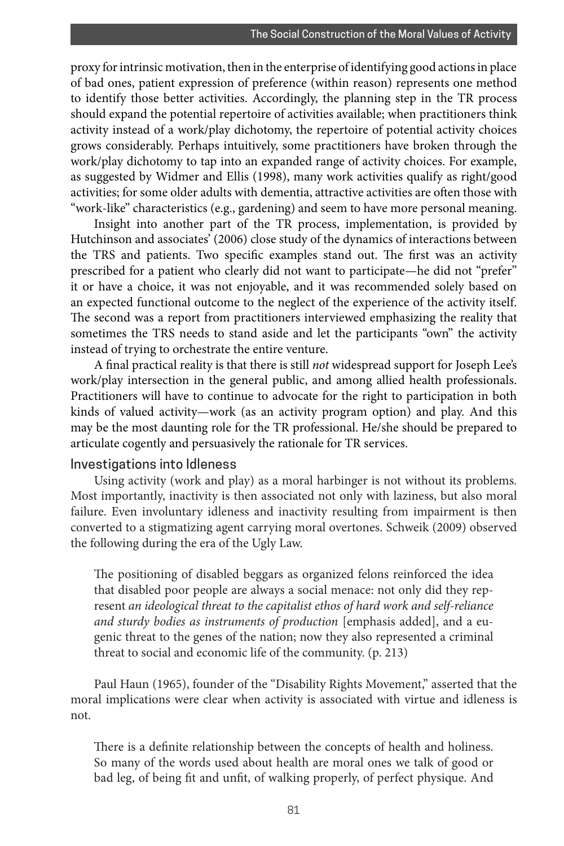proxy for intrinsic motivation, then in the enterprise of identifying good actions in place of bad ones, patient expression of preference (within reason) represents one method to identify those better activities. Accordingly, the planning step in the TR process should expand the potential repertoire of activities available; when practitioners think activity instead of a work/play dichotomy, the repertoire of potential activity choices grows considerably. Perhaps intuitively, some practitioners have broken through the work/play dichotomy to tap into an expanded range of activity choices. For example, as suggested by Widmer and Ellis (1998), many work activities qualify as right/good activities; for some older adults with dementia, attractive activities are often those with "work-like" characteristics (e.g., gardening) and seem to have more personal meaning.

Insight into another part of the TR process, implementation, is provided by Hutchinson and associates' (2006) close study of the dynamics of interactions between the TRS and patients. Two specific examples stand out. The first was an activity prescribed for a patient who clearly did not want to participate—he did not "prefer" it or have a choice, it was not enjoyable, and it was recommended solely based on an expected functional outcome to the neglect of the experience of the activity itself. The second was a report from practitioners interviewed emphasizing the reality that sometimes the TRS needs to stand aside and let the participants "own" the activity instead of trying to orchestrate the entire venture.

A final practical reality is that there is still *not* widespread support for Joseph Lee's work/play intersection in the general public, and among allied health professionals. Practitioners will have to continue to advocate for the right to participation in both kinds of valued activity—work (as an activity program option) and play. And this may be the most daunting role for the TR professional. He/she should be prepared to articulate cogently and persuasively the rationale for TR services.

#### Investigations into Idleness

Using activity (work and play) as a moral harbinger is not without its problems. Most importantly, inactivity is then associated not only with laziness, but also moral failure. Even involuntary idleness and inactivity resulting from impairment is then converted to a stigmatizing agent carrying moral overtones. Schweik (2009) observed the following during the era of the Ugly Law.

The positioning of disabled beggars as organized felons reinforced the idea that disabled poor people are always a social menace: not only did they represent *an ideological threat to the capitalist ethos of hard work and self-reliance and sturdy bodies as instruments of production* [emphasis added], and a eugenic threat to the genes of the nation; now they also represented a criminal threat to social and economic life of the community. (p. 213)

Paul Haun (1965), founder of the "Disability Rights Movement," asserted that the moral implications were clear when activity is associated with virtue and idleness is not.

There is a definite relationship between the concepts of health and holiness. So many of the words used about health are moral ones we talk of good or bad leg, of being fit and unfit, of walking properly, of perfect physique. And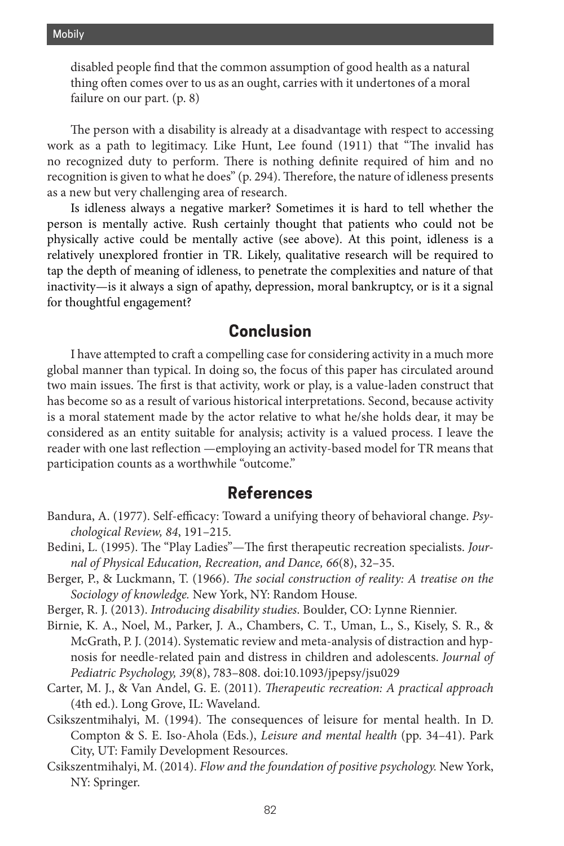disabled people find that the common assumption of good health as a natural thing often comes over to us as an ought, carries with it undertones of a moral failure on our part. (p. 8)

The person with a disability is already at a disadvantage with respect to accessing work as a path to legitimacy. Like Hunt, Lee found (1911) that "The invalid has no recognized duty to perform. There is nothing definite required of him and no recognition is given to what he does" (p. 294). Therefore, the nature of idleness presents as a new but very challenging area of research.

Is idleness always a negative marker? Sometimes it is hard to tell whether the person is mentally active. Rush certainly thought that patients who could not be physically active could be mentally active (see above). At this point, idleness is a relatively unexplored frontier in TR. Likely, qualitative research will be required to tap the depth of meaning of idleness, to penetrate the complexities and nature of that inactivity—is it always a sign of apathy, depression, moral bankruptcy, or is it a signal for thoughtful engagement?

# **Conclusion**

I have attempted to craft a compelling case for considering activity in a much more global manner than typical. In doing so, the focus of this paper has circulated around two main issues. The first is that activity, work or play, is a value-laden construct that has become so as a result of various historical interpretations. Second, because activity is a moral statement made by the actor relative to what he/she holds dear, it may be considered as an entity suitable for analysis; activity is a valued process. I leave the reader with one last reflection —employing an activity-based model for TR means that participation counts as a worthwhile "outcome."

### **References**

- Bandura, A. (1977). Self-efficacy: Toward a unifying theory of behavioral change. *Psychological Review, 84*, 191–215.
- Bedini, L. (1995). The "Play Ladies"—The first therapeutic recreation specialists. *Journal of Physical Education, Recreation, and Dance, 66*(8), 32–35.
- Berger, P., & Luckmann, T. (1966). *The social construction of reality: A treatise on the Sociology of knowledge.* New York, NY: Random House.
- Berger, R. J. (2013). *Introducing disability studies*. Boulder, CO: Lynne Riennier.
- Birnie, K. A., Noel, M., Parker, J. A., Chambers, C. T., Uman, L., S., Kisely, S. R., & McGrath, P. J. (2014). Systematic review and meta-analysis of distraction and hypnosis for needle-related pain and distress in children and adolescents. *Journal of Pediatric Psychology, 39*(8), 783–808. doi:10.1093/jpepsy/jsu029
- Carter, M. J., & Van Andel, G. E. (2011). *Therapeutic recreation: A practical approach*  (4th ed.). Long Grove, IL: Waveland.
- Csikszentmihalyi, M. (1994). The consequences of leisure for mental health. In D. Compton & S. E. Iso-Ahola (Eds.), *Leisure and mental health* (pp. 34–41). Park City, UT: Family Development Resources.
- Csikszentmihalyi, M. (2014). *Flow and the foundation of positive psychology.* New York, NY: Springer.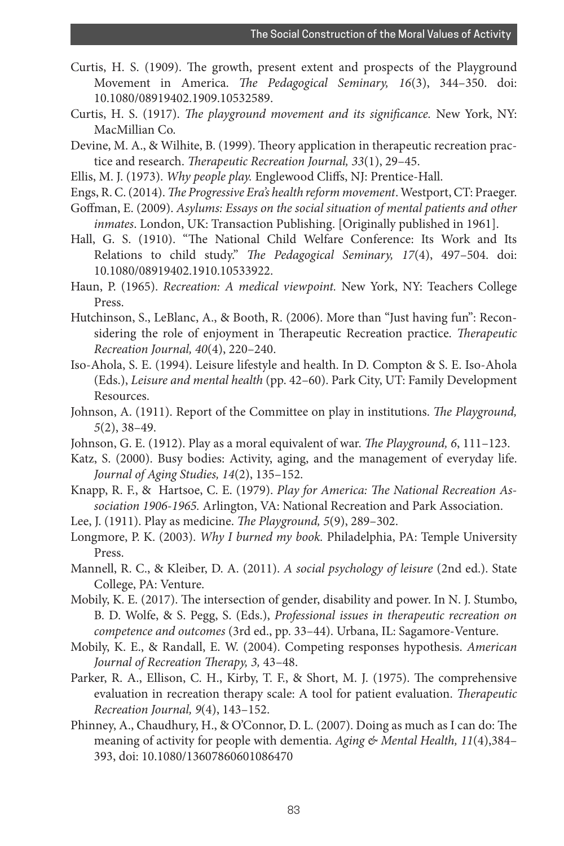- Curtis, H. S. (1909). The growth, present extent and prospects of the Playground Movement in America. *The Pedagogical Seminary, 16*(3), 344–350. doi: 10.1080/08919402.1909.10532589.
- Curtis, H. S. (1917). *The playground movement and its significance.* New York, NY: MacMillian Co.
- Devine, M. A., & Wilhite, B. (1999). Theory application in therapeutic recreation practice and research. *Therapeutic Recreation Journal, 33*(1), 29–45.
- Ellis, M. J. (1973). *Why people play.* Englewood Cliffs, NJ: Prentice-Hall.
- Engs, R. C. (2014). *The Progressive Era's health reform movement*. Westport, CT: Praeger.
- Goffman, E. (2009). *Asylums: Essays on the social situation of mental patients and other inmates*. London, UK: Transaction Publishing. [Originally published in 1961].
- Hall, G. S. (1910). "The National Child Welfare Conference: Its Work and Its Relations to child study." *The Pedagogical Seminary, 17*(4), 497–504. doi: 10.1080/08919402.1910.10533922.
- Haun, P. (1965). *Recreation: A medical viewpoint.* New York, NY: Teachers College Press.
- Hutchinson, S., LeBlanc, A., & Booth, R. (2006). More than "Just having fun": Reconsidering the role of enjoyment in Therapeutic Recreation practice. *Therapeutic Recreation Journal, 40*(4), 220–240.
- Iso-Ahola, S. E. (1994). Leisure lifestyle and health. In D. Compton & S. E. Iso-Ahola (Eds.), *Leisure and mental health* (pp. 42–60). Park City, UT: Family Development Resources.
- Johnson, A. (1911). Report of the Committee on play in institutions. *The Playground, 5*(2), 38–49.
- Johnson, G. E. (1912). Play as a moral equivalent of war. *The Playground, 6*, 111–123.
- Katz, S. (2000). Busy bodies: Activity, aging, and the management of everyday life. *Journal of Aging Studies, 14*(2), 135–152.
- Knapp, R. F., & Hartsoe, C. E. (1979). *Play for America: The National Recreation Association 1906-1965.* Arlington, VA: National Recreation and Park Association.
- Lee, J. (1911). Play as medicine. *The Playground, 5*(9), 289–302.
- Longmore, P. K. (2003). *Why I burned my book.* Philadelphia, PA: Temple University Press.
- Mannell, R. C., & Kleiber, D. A. (2011). *A social psychology of leisure* (2nd ed.). State College, PA: Venture.
- Mobily, K. E. (2017). The intersection of gender, disability and power. In N. J. Stumbo, B. D. Wolfe, & S. Pegg, S. (Eds.), *Professional issues in therapeutic recreation on competence and outcomes* (3rd ed., pp. 33–44). Urbana, IL: Sagamore-Venture.
- Mobily, K. E., & Randall, E. W. (2004). Competing responses hypothesis. *American Journal of Recreation Therapy, 3,* 43–48.
- Parker, R. A., Ellison, C. H., Kirby, T. F., & Short, M. J. (1975). The comprehensive evaluation in recreation therapy scale: A tool for patient evaluation. *Therapeutic Recreation Journal, 9*(4), 143–152.
- Phinney, A., Chaudhury, H., & O'Connor, D. L. (2007). Doing as much as I can do: The meaning of activity for people with dementia. *Aging & Mental Health, 11*(4),384– 393, doi: 10.1080/13607860601086470